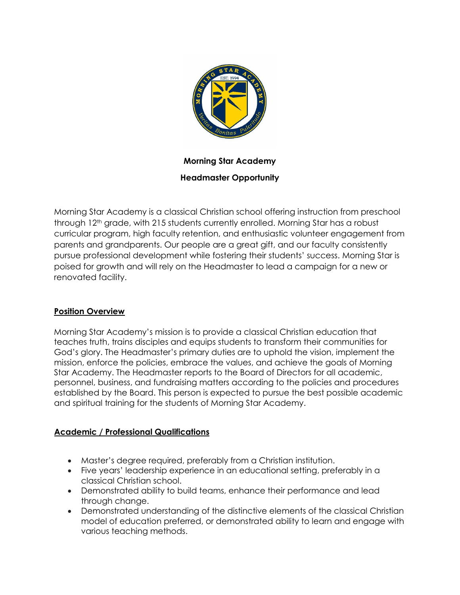

# **Morning Star Academy Headmaster Opportunity**

Morning Star Academy is a classical Christian school offering instruction from preschool through 12<sup>th</sup> grade, with 215 students currently enrolled. Morning Star has a robust curricular program, high faculty retention, and enthusiastic volunteer engagement from parents and grandparents. Our people are a great gift, and our faculty consistently pursue professional development while fostering their students' success. Morning Star is poised for growth and will rely on the Headmaster to lead a campaign for a new or renovated facility.

## **Position Overview**

Morning Star Academy's mission is to provide a classical Christian education that teaches truth, trains disciples and equips students to transform their communities for God's glory. The Headmaster's primary duties are to uphold the vision, implement the mission, enforce the policies, embrace the values, and achieve the goals of Morning Star Academy. The Headmaster reports to the Board of Directors for all academic, personnel, business, and fundraising matters according to the policies and procedures established by the Board. This person is expected to pursue the best possible academic and spiritual training for the students of Morning Star Academy.

#### **Academic / Professional Qualifications**

- Master's degree required, preferably from a Christian institution.
- Five years' leadership experience in an educational setting, preferably in a classical Christian school.
- Demonstrated ability to build teams, enhance their performance and lead through change.
- Demonstrated understanding of the distinctive elements of the classical Christian model of education preferred, or demonstrated ability to learn and engage with various teaching methods.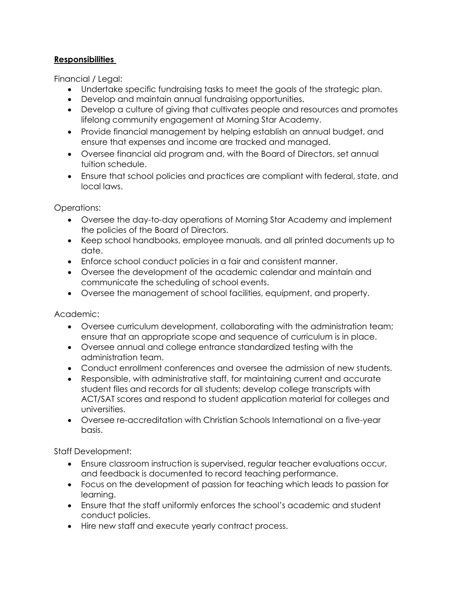### **Responsibilities**

Financial / Legal:

- Undertake specific fundraising tasks to meet the goals of the strategic plan.
- Develop and maintain annual fundraising opportunities.
- Develop a culture of giving that cultivates people and resources and promotes lifelong community engagement at Morning Star Academy.
- Provide financial management by helping establish an annual budget, and ensure that expenses and income are tracked and managed.
- Oversee financial aid program and, with the Board of Directors, set annual tuition schedule.
- Ensure that school policies and practices are compliant with federal, state, and local laws.

Operations:

- Oversee the day-to-day operations of Morning Star Academy and implement the policies of the Board of Directors.
- Keep school handbooks, employee manuals, and all printed documents up to date.
- Enforce school conduct policies in a fair and consistent manner.
- Oversee the development of the academic calendar and maintain and communicate the scheduling of school events.
- Oversee the management of school facilities, equipment, and property.

Academic:

- Oversee curriculum development, collaborating with the administration team; ensure that an appropriate scope and sequence of curriculum is in place.
- Oversee annual and college entrance standardized testing with the administration team.
- Conduct enrollment conferences and oversee the admission of new students.
- Responsible, with administrative staff, for maintaining current and accurate student files and records for all students; develop college transcripts with ACT/SAT scores and respond to student application material for colleges and universities.
- Oversee re-accreditation with Christian Schools International on a five-year basis.

Staff Development:

- Ensure classroom instruction is supervised, regular teacher evaluations occur, and feedback is documented to record teaching performance.
- Focus on the development of passion for teaching which leads to passion for learning.
- Ensure that the staff uniformly enforces the school's academic and student conduct policies.
- Hire new staff and execute yearly contract process.